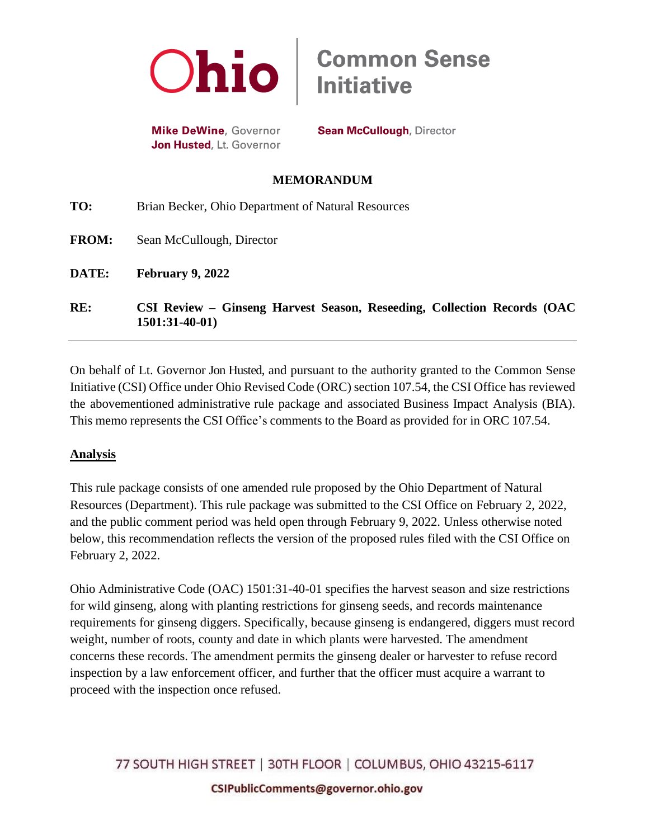

**Mike DeWine, Governor** Jon Husted, Lt. Governor

**Sean McCullough, Director** 

## **MEMORANDUM**

| RE:          | CSI Review – Ginseng Harvest Season, Reseeding, Collection Records (OAC<br>$1501:31-40-01$ |
|--------------|--------------------------------------------------------------------------------------------|
| DATE:        | February 9, 2022                                                                           |
| <b>FROM:</b> | Sean McCullough, Director                                                                  |
| TO:          | Brian Becker, Ohio Department of Natural Resources                                         |

On behalf of Lt. Governor Jon Husted, and pursuant to the authority granted to the Common Sense Initiative (CSI) Office under Ohio Revised Code (ORC) section 107.54, the CSI Office has reviewed the abovementioned administrative rule package and associated Business Impact Analysis (BIA). This memo represents the CSI Office's comments to the Board as provided for in ORC 107.54.

## **Analysis**

This rule package consists of one amended rule proposed by the Ohio Department of Natural Resources (Department). This rule package was submitted to the CSI Office on February 2, 2022, and the public comment period was held open through February 9, 2022. Unless otherwise noted below, this recommendation reflects the version of the proposed rules filed with the CSI Office on February 2, 2022.

Ohio Administrative Code (OAC) 1501:31-40-01 specifies the harvest season and size restrictions for wild ginseng, along with planting restrictions for ginseng seeds, and records maintenance requirements for ginseng diggers. Specifically, because ginseng is endangered, diggers must record weight, number of roots, county and date in which plants were harvested. The amendment concerns these records. The amendment permits the ginseng dealer or harvester to refuse record inspection by a law enforcement officer, and further that the officer must acquire a warrant to proceed with the inspection once refused.

77 SOUTH HIGH STREET | 30TH FLOOR | COLUMBUS, OHIO 43215-6117 CSIPublicComments@governor.ohio.gov